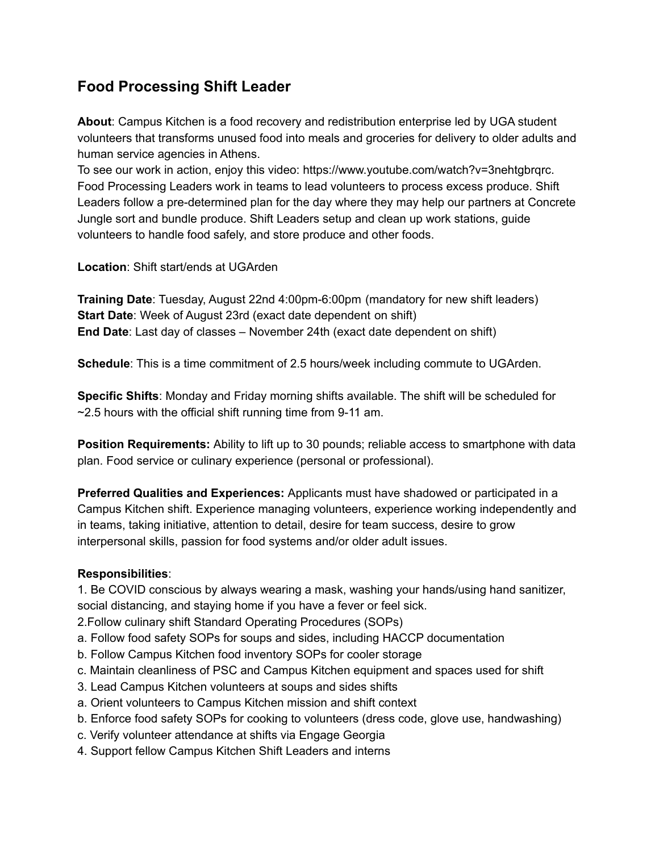## **Food Processing Shift Leader**

**About**: Campus Kitchen is a food recovery and redistribution enterprise led by UGA student volunteers that transforms unused food into meals and groceries for delivery to older adults and human service agencies in Athens.

To see our work in action, enjoy this video: https://www.youtube.com/watch?v=3nehtgbrqrc. Food Processing Leaders work in teams to lead volunteers to process excess produce. Shift Leaders follow a pre-determined plan for the day where they may help our partners at Concrete Jungle sort and bundle produce. Shift Leaders setup and clean up work stations, guide volunteers to handle food safely, and store produce and other foods.

**Location**: Shift start/ends at UGArden

**Training Date**: Tuesday, August 22nd 4:00pm-6:00pm (mandatory for new shift leaders) **Start Date**: Week of August 23rd (exact date dependent on shift) **End Date**: Last day of classes – November 24th (exact date dependent on shift)

**Schedule**: This is a time commitment of 2.5 hours/week including commute to UGArden.

**Specific Shifts**: Monday and Friday morning shifts available. The shift will be scheduled for  $\sim$ 2.5 hours with the official shift running time from 9-11 am.

**Position Requirements:** Ability to lift up to 30 pounds; reliable access to smartphone with data plan. Food service or culinary experience (personal or professional).

**Preferred Qualities and Experiences:** Applicants must have shadowed or participated in a Campus Kitchen shift. Experience managing volunteers, experience working independently and in teams, taking initiative, attention to detail, desire for team success, desire to grow interpersonal skills, passion for food systems and/or older adult issues.

## **Responsibilities**:

1. Be COVID conscious by always wearing a mask, washing your hands/using hand sanitizer, social distancing, and staying home if you have a fever or feel sick.

2.Follow culinary shift Standard Operating Procedures (SOPs)

- a. Follow food safety SOPs for soups and sides, including HACCP documentation
- b. Follow Campus Kitchen food inventory SOPs for cooler storage
- c. Maintain cleanliness of PSC and Campus Kitchen equipment and spaces used for shift
- 3. Lead Campus Kitchen volunteers at soups and sides shifts
- a. Orient volunteers to Campus Kitchen mission and shift context
- b. Enforce food safety SOPs for cooking to volunteers (dress code, glove use, handwashing)
- c. Verify volunteer attendance at shifts via Engage Georgia
- 4. Support fellow Campus Kitchen Shift Leaders and interns